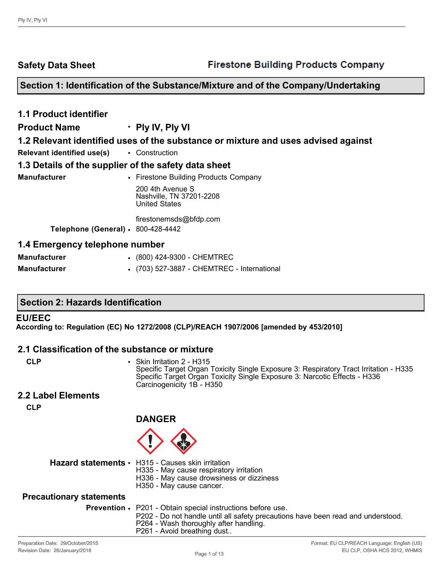**Safety Data Sheet**

# **Section 1: Identification of the Substance/Mixture and of the Company/Undertaking**

| <b>1.1 Product identifier</b>                        |                                                                                   |  |  |  |  |
|------------------------------------------------------|-----------------------------------------------------------------------------------|--|--|--|--|
| <b>Product Name</b>                                  | $\cdot$ Ply IV, Ply VI                                                            |  |  |  |  |
|                                                      | 1.2 Relevant identified uses of the substance or mixture and uses advised against |  |  |  |  |
| Relevant identified use(s)                           | • Construction                                                                    |  |  |  |  |
| 1.3 Details of the supplier of the safety data sheet |                                                                                   |  |  |  |  |
| <b>Manufacturer</b>                                  | • Firestone Building Products Company                                             |  |  |  |  |
|                                                      | 200 4th Avenue S<br>Nashville, TN 37201-2208<br><b>United States</b>              |  |  |  |  |
|                                                      | firestonemsds@bfdp.com                                                            |  |  |  |  |
| Telephone (General) · 800-428-4442                   |                                                                                   |  |  |  |  |
| 1.4 Emergency telephone number                       |                                                                                   |  |  |  |  |
| <b>Manufacturer</b>                                  | • (800) 424-9300 - CHEMTREC                                                       |  |  |  |  |

| <b>Manufacturer</b> | • (703) 527-3887 - CHEMTREC - International |
|---------------------|---------------------------------------------|

#### **Section 2: Hazards Identification**

#### **EU/EEC**

**According to: Regulation (EC) No 1272/2008 (CLP)/REACH 1907/2006 [amended by 453/2010]**

#### **2.1 Classification of the substance or mixture**

| ۹  |    |
|----|----|
| ۰. | ۰, |

**CLP** • Skin Irritation 2 - H315 Specific Target Organ Toxicity Single Exposure 3: Respiratory Tract Irritation - H335 Specific Target Organ Toxicity Single Exposure 3: Narcotic Effects - H336 Carcinogenicity 1B - H350

#### **2.2 Label Elements**

**CLP**

**DANGER**

- **Hazard statements** H315 Causes skin irritation
	- H335 May cause respiratory irritation
		- H336 May cause drowsiness or dizziness
		- H350 May cause cancer.

#### **Precautionary statements**

| <b>Prevention •</b> P201 - Obtain special instructions before use. |  |  |  |
|--------------------------------------------------------------------|--|--|--|

- P202 Do not handle until all safety precautions have been read and understood.
- P264 Wash thoroughly after handling.
- P261 Avoid breathing dust..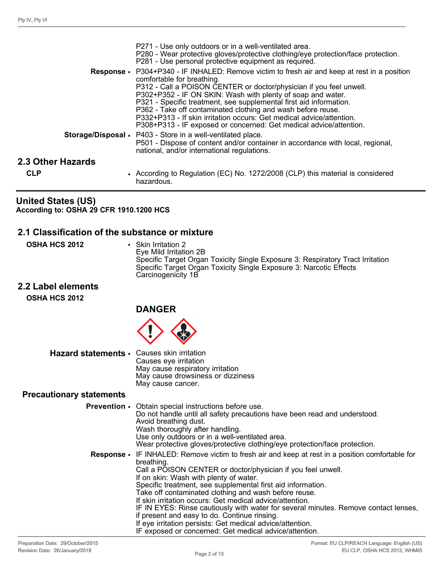|                   | P271 - Use only outdoors or in a well-ventilated area.<br>P280 - Wear protective gloves/protective clothing/eye protection/face protection.<br>P281 - Use personal protective equipment as required.                                                                                                                                                                                                                                                                                                                                                                                                                       |
|-------------------|----------------------------------------------------------------------------------------------------------------------------------------------------------------------------------------------------------------------------------------------------------------------------------------------------------------------------------------------------------------------------------------------------------------------------------------------------------------------------------------------------------------------------------------------------------------------------------------------------------------------------|
|                   | <b>Response</b> • P304+P340 - IF INHALED: Remove victim to fresh air and keep at rest in a position<br>comfortable for breathing.<br>P312 - Call a POISON CENTER or doctor/physician if you feel unwell.<br>P302+P352 - IF ON SKIN: Wash with plenty of soap and water.<br>P321 - Specific treatment, see supplemental first aid information.<br>P362 - Take off contaminated clothing and wash before reuse.<br>P332+P313 - If skin irritation occurs: Get medical advice/attention.<br>P308+P313 - IF exposed or concerned: Get medical advice/attention.<br>Storage/Disposal • P403 - Store in a well-ventilated place. |
|                   | P501 - Dispose of content and/or container in accordance with local, regional,<br>national, and/or international regulations.                                                                                                                                                                                                                                                                                                                                                                                                                                                                                              |
| 2.3 Other Hazards |                                                                                                                                                                                                                                                                                                                                                                                                                                                                                                                                                                                                                            |
| <b>CLP</b>        | • According to Regulation (EC) No. 1272/2008 (CLP) this material is considered<br>hazardous.                                                                                                                                                                                                                                                                                                                                                                                                                                                                                                                               |

#### **United States (US) According to: OSHA 29 CFR 1910.1200 HCS**

#### **2.1 Classification of the substance or mixture**

**OSHA HCS 2012** • Skin Irritation 2

Eye Mild Irritation 2B Specific Target Organ Toxicity Single Exposure 3: Respiratory Tract Irritation Specific Target Organ Toxicity Single Exposure 3: Narcotic Effects Carcinogenicity 1B

**2.2 Label elements OSHA HCS 2012**



#### **Hazard statements** • Causes skin irritation Causes eye irritation May cause respiratory irritation May cause drowsiness or dizziness May cause cancer.

#### **Precautionary statements**

| <b>Prevention •</b> Obtain special instructions before use.<br>Do not handle until all safety precautions have been read and understood.<br>Avoid breathing dust.<br>Wash thoroughly after handling.<br>Use only outdoors or in a well-ventilated area.<br>Wear protective gloves/protective clothing/eye protection/face protection.                                                                                                                                                                                                                                                                                                                                             |
|-----------------------------------------------------------------------------------------------------------------------------------------------------------------------------------------------------------------------------------------------------------------------------------------------------------------------------------------------------------------------------------------------------------------------------------------------------------------------------------------------------------------------------------------------------------------------------------------------------------------------------------------------------------------------------------|
| <b>Response</b> • IF INHALED: Remove victim to fresh air and keep at rest in a position comfortable for<br>breathing.<br>Call a POISON CENTER or doctor/physician if you feel unwell.<br>If on skin: Wash with plenty of water.<br>Specific treatment, see supplemental first aid information.<br>Take off contaminated clothing and wash before reuse.<br>If skin irritation occurs: Get medical advice/attention.<br>IF IN EYES: Rinse cautiously with water for several minutes. Remove contact lenses,<br>if present and easy to do. Continue rinsing.<br>If eye irritation persists: Get medical advice/attention.<br>IF exposed or concerned: Get medical advice/attention. |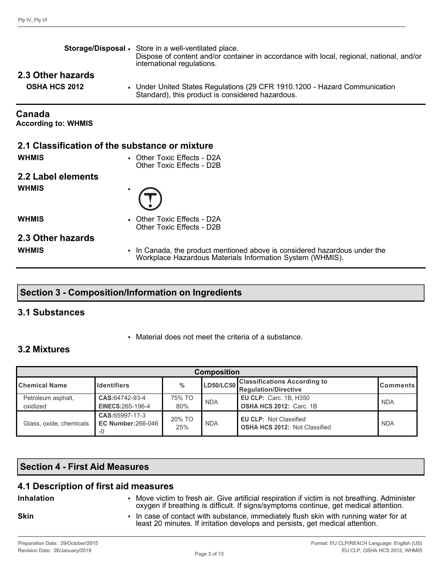|                                                | Storage/Disposal • Store in a well-ventilated place.<br>Dispose of content and/or container in accordance with local, regional, national, and/or<br>international regulations. |
|------------------------------------------------|--------------------------------------------------------------------------------------------------------------------------------------------------------------------------------|
| 2.3 Other hazards<br><b>OSHA HCS 2012</b>      | • Under United States Regulations (29 CFR 1910.1200 - Hazard Communication<br>Standard), this product is considered hazardous.                                                 |
| Canada<br><b>According to: WHMIS</b>           |                                                                                                                                                                                |
| 2.1 Classification of the substance or mixture |                                                                                                                                                                                |
| <b>WHMIS</b>                                   | • Other Toxic Effects - D2A<br>Other Toxic Effects - D2B                                                                                                                       |
| 2.2 Label elements                             |                                                                                                                                                                                |
| <b>WHMIS</b>                                   |                                                                                                                                                                                |
| <b>WHMIS</b>                                   | • Other Toxic Effects - D2A<br>Other Toxic Effects - D2B                                                                                                                       |
| 2.3 Other hazards                              |                                                                                                                                                                                |
| <b>WHMIS</b>                                   | In Canada, the product mentioned above is considered hazardous under the<br>Workplace Hazardous Materials Information System (WHMIS).                                          |

# **Section 3 - Composition/Information on Ingredients**

# **3.1 Substances**

• Material does not meet the criteria of a substance.

# **3.2 Mixtures**

| <b>Composition</b>                                            |                                             |               |                                                                |                                                                       |            |  |
|---------------------------------------------------------------|---------------------------------------------|---------------|----------------------------------------------------------------|-----------------------------------------------------------------------|------------|--|
| $\frac{0}{0}$<br><b>I</b> Chemical Name<br><b>Identifiers</b> |                                             |               | LD50/LC50 Classifications According to<br>Regulation/Directive | <b>Comments</b>                                                       |            |  |
| Petroleum asphalt,<br>oxidized                                | CAS:64742-93-4<br>EINECS: 265-196-4         | 75% TO<br>80% | <b>NDA</b>                                                     | <b>EU CLP: Carc. 1B, H350</b><br><b>OSHA HCS 2012: Carc. 1B</b>       | <b>NDA</b> |  |
| Glass, oxide, chemicals                                       | CAS:65997-17-3<br><b>EC Number: 266-046</b> | 20% TO<br>25% | <b>NDA</b>                                                     | <b>EU CLP: Not Classified</b><br><b>OSHA HCS 2012: Not Classified</b> | <b>NDA</b> |  |

# **Section 4 - First Aid Measures**

# **4.1 Description of first aid measures**

- **Inhalation** Move victim to fresh air. Give artificial respiration if victim is not breathing. Administer oxygen if breathing is difficult. If signs/symptoms continue, get medical attention.
- 
- **Skin** In case of contact with substance, immediately flush skin with running water for at least 20 minutes. If irritation develops and persists, get medical attention.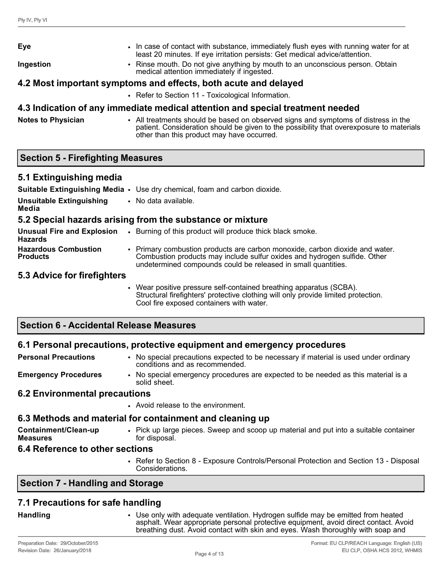| Eye       | • In case of contact with substance, immediately flush eyes with running water for at<br>least 20 minutes. If eye irritation persists: Get medical advice/attention. |
|-----------|----------------------------------------------------------------------------------------------------------------------------------------------------------------------|
| Ingestion | • Rinse mouth. Do not give anything by mouth to an unconscious person. Obtain<br>medical attention immediately if ingested.                                          |
|           | 4.2 Most important symptoms and effects, both acute and delayed                                                                                                      |
|           | • Refer to Section 11 - Toxicological Information.                                                                                                                   |

# **4.3 Indication of any immediate medical attention and special treatment needed**

**Notes to Physician** • All treatments should be based on observed signs and symptoms of distress in the patient. Consideration should be given to the possibility that overexposure to materials other than this product may have occurred.

# **Section 5 - Firefighting Measures**

#### **5.1 Extinguishing media**

|                                                     | Suitable Extinguishing Media • Use dry chemical, foam and carbon dioxide.                                                                                                                                                  |
|-----------------------------------------------------|----------------------------------------------------------------------------------------------------------------------------------------------------------------------------------------------------------------------------|
| <b>Unsuitable Extinguishing</b><br>Media            | • No data available.                                                                                                                                                                                                       |
|                                                     | 5.2 Special hazards arising from the substance or mixture                                                                                                                                                                  |
| <b>Unusual Fire and Explosion</b><br><b>Hazards</b> | • Burning of this product will produce thick black smoke.                                                                                                                                                                  |
| <b>Hazardous Combustion</b><br><b>Products</b>      | • Primary combustion products are carbon monoxide, carbon dioxide and water.<br>Combustion products may include sulfur oxides and hydrogen sulfide. Other<br>undetermined compounds could be released in small quantities. |
| 5.3 Advice for firefighters                         |                                                                                                                                                                                                                            |

• Wear positive pressure self-contained breathing apparatus (SCBA). Structural firefighters' protective clothing will only provide limited protection. Cool fire exposed containers with water.

# **Section 6 - Accidental Release Measures**

#### **6.1 Personal precautions, protective equipment and emergency procedures**

**Personal Precautions** • No special precautions expected to be necessary if material is used under ordinary conditions and as recommended. **Emergency Procedures** • No special emergency procedures are expected to be needed as this material is a solid sheet.

#### **6.2 Environmental precautions**

• Avoid release to the environment.

#### **6.3 Methods and material for containment and cleaning up**

**Containment/Clean-up Measures** • Pick up large pieces. Sweep and scoop up material and put into a suitable container for disposal.

#### **6.4 Reference to other sections**

• Refer to Section 8 - Exposure Controls/Personal Protection and Section 13 - Disposal Considerations.

# **Section 7 - Handling and Storage**

# **7.1 Precautions for safe handling**

**Handling** • Use only with adequate ventilation. Hydrogen sulfide may be emitted from heated asphalt. Wear appropriate personal protective equipment, avoid direct contact. Avoid breathing dust. Avoid contact with skin and eyes. Wash thoroughly with soap and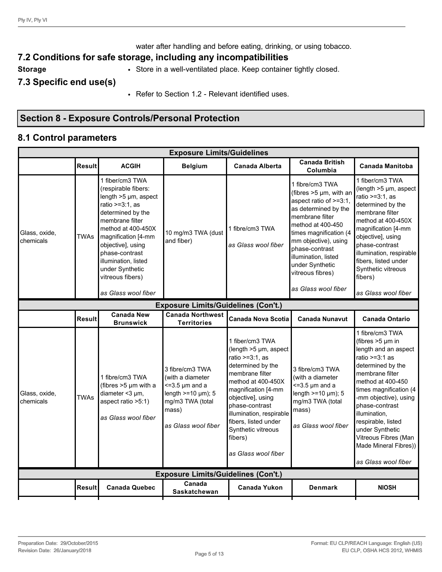water after handling and before eating, drinking, or using tobacco.

# **7.2 Conditions for safe storage, including any incompatibilities**

**Storage** • Store in a well-ventilated place. Keep container tightly closed.

**7.3 Specific end use(s)**

• Refer to Section 1.2 - Relevant identified uses.

# **Section 8 - Exposure Controls/Personal Protection**

### **8.1 Control parameters**

|                                            | <b>Exposure Limits/Guidelines</b> |                                                                                                                                                                                                                                                                                                     |                                                                                                                                               |                                                                                                                                                                                                                                                                                                              |                                                                                                                                                                                                                                                                                                     |                                                                                                                                                                                                                                                                                                                                                           |  |  |  |
|--------------------------------------------|-----------------------------------|-----------------------------------------------------------------------------------------------------------------------------------------------------------------------------------------------------------------------------------------------------------------------------------------------------|-----------------------------------------------------------------------------------------------------------------------------------------------|--------------------------------------------------------------------------------------------------------------------------------------------------------------------------------------------------------------------------------------------------------------------------------------------------------------|-----------------------------------------------------------------------------------------------------------------------------------------------------------------------------------------------------------------------------------------------------------------------------------------------------|-----------------------------------------------------------------------------------------------------------------------------------------------------------------------------------------------------------------------------------------------------------------------------------------------------------------------------------------------------------|--|--|--|
|                                            | <b>Result</b>                     | <b>ACGIH</b>                                                                                                                                                                                                                                                                                        | <b>Belgium</b>                                                                                                                                | <b>Canada Alberta</b>                                                                                                                                                                                                                                                                                        | <b>Canada British</b><br>Columbia                                                                                                                                                                                                                                                                   | <b>Canada Manitoba</b>                                                                                                                                                                                                                                                                                                                                    |  |  |  |
| Glass, oxide,<br><b>chemicals</b>          | TWAs                              | 1 fiber/cm3 TWA<br>(respirable fibers:<br>length >5 µm, aspect<br>ratio >=3:1, as<br>determined by the<br>membrane filter<br>method at 400-450X<br>magnification [4-mm<br>objective], using<br>phase-contrast<br>illumination, listed<br>under Synthetic<br>vitreous fibers)<br>as Glass wool fiber | 10 mg/m3 TWA (dust<br>and fiber)                                                                                                              | 1 fibre/cm3 TWA<br>as Glass wool fiber                                                                                                                                                                                                                                                                       | 1 fibre/cm3 TWA<br>(fibres $>5 \mu m$ , with an<br>aspect ratio of >=3:1,<br>as determined by the<br>membrane filter<br>method at 400-450<br>times magnification (4<br>mm objective), using<br>phase-contrast<br>illumination, listed<br>under Synthetic<br>vitreous fibres)<br>as Glass wool fiber | 1 fiber/cm3 TWA<br>(length >5 µm, aspect<br>ratio $>=3:1$ , as<br>determined by the<br>membrane filter<br>method at 400-450X<br>magnification [4-mm<br>objective], using<br>phase-contrast<br>illumination, respirable<br>fibers, listed under<br>Synthetic vitreous<br>fibers)<br>as Glass wool fiber                                                    |  |  |  |
| <b>Exposure Limits/Guidelines (Con't.)</b> |                                   |                                                                                                                                                                                                                                                                                                     |                                                                                                                                               |                                                                                                                                                                                                                                                                                                              |                                                                                                                                                                                                                                                                                                     |                                                                                                                                                                                                                                                                                                                                                           |  |  |  |
|                                            | <b>Result</b>                     | <b>Canada New</b><br><b>Brunswick</b>                                                                                                                                                                                                                                                               | <b>Canada Northwest</b><br><b>Territories</b>                                                                                                 | <b>Canada Nova Scotia</b>                                                                                                                                                                                                                                                                                    | <b>Canada Nunavut</b>                                                                                                                                                                                                                                                                               | <b>Canada Ontario</b>                                                                                                                                                                                                                                                                                                                                     |  |  |  |
| Glass, oxide,<br>chemicals                 | <b>TWAs</b>                       | 1 fibre/cm3 TWA<br>(fibres >5 µm with a<br>diameter <3 µm,<br>aspect ratio >5:1)<br>as Glass wool fiber                                                                                                                                                                                             | 3 fibre/cm3 TWA<br>(with a diameter<br>$\leq$ =3.5 µm and a<br>length $>=$ 10 $\mu$ m); 5<br>mg/m3 TWA (total<br>mass)<br>as Glass wool fiber | 1 fiber/cm3 TWA<br>(length $>5 \mu m$ , aspect<br>ratio $>=3:1$ , as<br>determined by the<br>membrane filter<br>method at 400-450X<br>magnification [4-mm<br>objective], using<br>phase-contrast<br>illumination, respirable<br>fibers, listed under<br>Synthetic vitreous<br>fibers)<br>as Glass wool fiber | 3 fibre/cm3 TWA<br>(with a diameter<br>$\leq$ =3.5 µm and a<br>length $>=10 \mu m$ ; 5<br>mg/m3 TWA (total<br>mass)<br>as Glass wool fiber                                                                                                                                                          | 1 fibre/cm3 TWA<br>(fibres $>5 \mu m$ in<br>length and an aspect<br>ratio >= $3:1$ as<br>determined by the<br>membrane filter<br>method at 400-450<br>times magnification (4<br>-mm objective), using<br>phase-contrast<br>illumination,<br>respirable, listed<br>under Synthetic<br>Vitreous Fibres (Man<br>Made Mineral Fibres))<br>as Glass wool fiber |  |  |  |
|                                            |                                   |                                                                                                                                                                                                                                                                                                     | <b>Exposure Limits/Guidelines (Con't.)</b>                                                                                                    |                                                                                                                                                                                                                                                                                                              |                                                                                                                                                                                                                                                                                                     |                                                                                                                                                                                                                                                                                                                                                           |  |  |  |
|                                            | Result                            | <b>Canada Quebec</b>                                                                                                                                                                                                                                                                                | Canada<br><b>Saskatchewan</b>                                                                                                                 | <b>Canada Yukon</b>                                                                                                                                                                                                                                                                                          | <b>Denmark</b>                                                                                                                                                                                                                                                                                      | <b>NIOSH</b>                                                                                                                                                                                                                                                                                                                                              |  |  |  |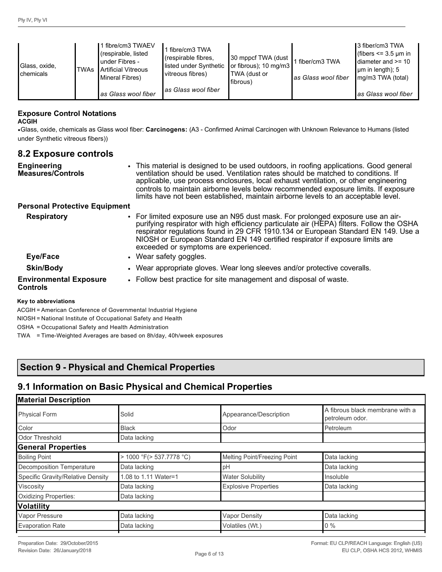| Glass, oxide,<br><b>I</b> chemicals | <b>TWAs</b> | 1 fibre/cm3 TWAEV<br>(respirable, listed<br>under Fibres -<br>Artificial Vitreous<br>Mineral Fibres)<br>las Glass wool fiber | fibre/cm3 TWA<br>(respirable fibres,<br>listed under Synthetic<br>vitreous fibres)<br>las Glass wool fiber | 30 mppcf TWA (dust<br>or fibrous); $10 \text{ mg/m}$<br>TWA (dust or<br>l fibrous) | fiber/cm3 TWA<br><b>l</b> as Glass wool fiber | Ⅰ3 fiber/cm3 TWA<br>(fibers $\leq$ 3.5 µm in<br>diameter and >= 10<br>$\mu$ m in length); 5<br>mg/m3 TWA (total)<br>as Glass wool fiber |
|-------------------------------------|-------------|------------------------------------------------------------------------------------------------------------------------------|------------------------------------------------------------------------------------------------------------|------------------------------------------------------------------------------------|-----------------------------------------------|-----------------------------------------------------------------------------------------------------------------------------------------|
|-------------------------------------|-------------|------------------------------------------------------------------------------------------------------------------------------|------------------------------------------------------------------------------------------------------------|------------------------------------------------------------------------------------|-----------------------------------------------|-----------------------------------------------------------------------------------------------------------------------------------------|

#### **Exposure Control Notations**

#### **ACGIH**

•Glass, oxide, chemicals as Glass wool fiber: **Carcinogens:** (A3 - Confirmed Animal Carcinogen with Unknown Relevance to Humans (listed under Synthetic vitreous fibers))

# **8.2 Exposure controls**

| <b>Engineering</b><br>Measures/Controls<br><b>Personal Protective Equipment</b> | • This material is designed to be used outdoors, in roofing applications. Good general<br>ventilation should be used. Ventilation rates should be matched to conditions. If<br>applicable, use process enclosures, local exhaust ventilation, or other engineering<br>controls to maintain airborne levels below recommended exposure limits. If exposure<br>limits have not been established, maintain airborne levels to an acceptable level. |
|---------------------------------------------------------------------------------|-------------------------------------------------------------------------------------------------------------------------------------------------------------------------------------------------------------------------------------------------------------------------------------------------------------------------------------------------------------------------------------------------------------------------------------------------|
| <b>Respiratory</b>                                                              | • For limited exposure use an N95 dust mask. For prolonged exposure use an air-<br>purifying respirator with high efficiency particulate air (HEPA) filters. Follow the OSHA<br>respirator regulations found in 29 CFR 1910.134 or European Standard EN 149. Use a<br>NIOSH or European Standard EN 149 certified respirator if exposure limits are                                                                                             |
| Eye/Face                                                                        | exceeded or symptoms are experienced.<br>• Wear safety goggles.                                                                                                                                                                                                                                                                                                                                                                                 |
| <b>Skin/Body</b>                                                                | • Wear appropriate gloves. Wear long sleeves and/or protective coveralls.                                                                                                                                                                                                                                                                                                                                                                       |

**Environmental Exposure**  • Follow best practice for site management and disposal of waste.

#### **Controls**

#### **Key to abbreviations**

ACGIH = American Conference of Governmental Industrial Hygiene

NIOSH = National Institute of Occupational Safety and Health

OSHA = Occupational Safety and Health Administration

TWA = Time-Weighted Averages are based on 8h/day, 40h/week exposures

# **Section 9 - Physical and Chemical Properties**

# **9.1 Information on Basic Physical and Chemical Properties**

| <b>Material Description</b>       |                          |                              |                                                    |
|-----------------------------------|--------------------------|------------------------------|----------------------------------------------------|
| <b>Physical Form</b>              | Solid                    | Appearance/Description       | A fibrous black membrane with a<br>petroleum odor. |
| Color                             | <b>Black</b>             | Odor                         | Petroleum                                          |
| Odor Threshold                    | Data lacking             |                              |                                                    |
| <b>General Properties</b>         |                          |                              |                                                    |
| <b>Boiling Point</b>              | > 1000 °F(> 537.7778 °C) | Melting Point/Freezing Point | Data lacking                                       |
| Decomposition Temperature         | Data lacking             | pH                           | Data lacking                                       |
| Specific Gravity/Relative Density | 1.08 to 1.11 Water=1     | <b>Water Solubility</b>      | Insoluble                                          |
| Viscosity                         | Data lacking             | <b>Explosive Properties</b>  | Data lacking                                       |
| <b>Oxidizing Properties:</b>      | Data lacking             |                              |                                                    |
| Volatility                        |                          |                              |                                                    |
| Vapor Pressure                    | Data lacking             | Vapor Density                | Data lacking                                       |
| <b>Evaporation Rate</b>           | Data lacking             | Volatiles (Wt.)              | $0\%$                                              |
|                                   |                          |                              |                                                    |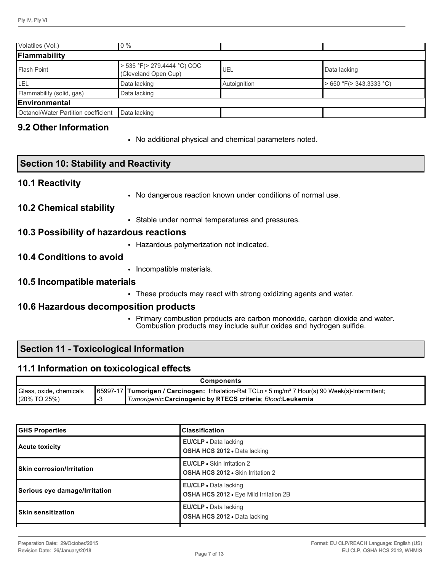| Volatiles (Vol.)                    | $0\%$                                               |              |                         |
|-------------------------------------|-----------------------------------------------------|--------------|-------------------------|
| Flammability                        |                                                     |              |                         |
| <b>Flash Point</b>                  | > 535 °F(> 279.4444 °C) COC<br>(Cleveland Open Cup) | UEL          | Data lacking            |
| LEL                                 | Data lacking                                        | Autoignition | > 650 °F(> 343.3333 °C) |
| Flammability (solid, gas)           | Data lacking                                        |              |                         |
| lEnvironmental                      |                                                     |              |                         |
| Octanol/Water Partition coefficient | Data lacking                                        |              |                         |

### **9.2 Other Information**

• No additional physical and chemical parameters noted.

#### **10.1 Reactivity**

• No dangerous reaction known under conditions of normal use.

#### **10.2 Chemical stability**

• Stable under normal temperatures and pressures.

#### **10.3 Possibility of hazardous reactions**

• Hazardous polymerization not indicated.

#### **10.4 Conditions to avoid**

• Incompatible materials.

#### **10.5 Incompatible materials**

• These products may react with strong oxidizing agents and water.

#### **10.6 Hazardous decomposition products**

• Primary combustion products are carbon monoxide, carbon dioxide and water. Combustion products may include sulfur oxides and hydrogen sulfide.

# **Section 11 - Toxicological Information**

#### **11.1 Information on toxicological effects**

|                         | <b>Components</b> |                                                                                                                  |  |  |
|-------------------------|-------------------|------------------------------------------------------------------------------------------------------------------|--|--|
| Glass, oxide, chemicals |                   | [65997-17   Tumorigen / Carcinogen: Inhalation-Rat TCLo · 5 mg/m <sup>3</sup> 7 Hour(s) 90 Week(s)-Intermittent; |  |  |
| I(20% TO 25%)           |                   | Tumorigenic: Carcinogenic by RTECS criteria; Blood: Leukemia                                                     |  |  |

| <b>GHS Properties</b>            | <b>Classification</b>                                                         |  |  |
|----------------------------------|-------------------------------------------------------------------------------|--|--|
| Acute toxicity                   | <b>EU/CLP</b> . Data lacking<br><b>OSHA HCS 2012 .</b> Data lacking           |  |  |
| <b>Skin corrosion/Irritation</b> | <b>EU/CLP</b> • Skin Irritation 2<br><b>OSHA HCS 2012 • Skin Irritation 2</b> |  |  |
| Serious eye damage/Irritation    | <b>EU/CLP</b> • Data lacking<br>OSHA HCS 2012 . Eye Mild Irritation 2B        |  |  |
| <b>Skin sensitization</b>        | <b>EU/CLP</b> • Data lacking<br>OSHA HCS 2012 . Data lacking                  |  |  |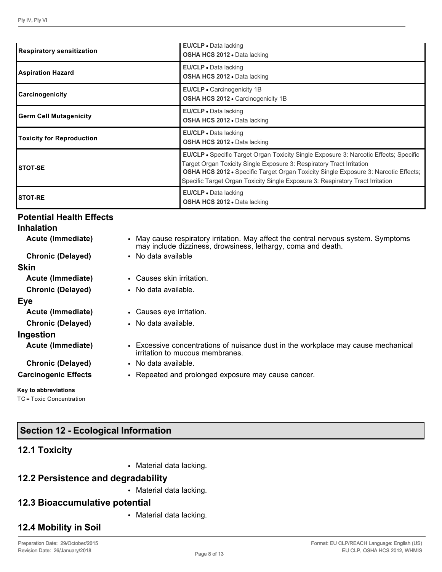| <b>Respiratory sensitization</b> | EU/CLP · Data lacking<br><b>OSHA HCS 2012 • Data lacking</b>                                                                                                                                                                                                                                                                                          |  |  |  |
|----------------------------------|-------------------------------------------------------------------------------------------------------------------------------------------------------------------------------------------------------------------------------------------------------------------------------------------------------------------------------------------------------|--|--|--|
| <b>Aspiration Hazard</b>         | EU/CLP - Data lacking<br><b>OSHA HCS 2012 .</b> Data lacking                                                                                                                                                                                                                                                                                          |  |  |  |
| Carcinogenicity                  | EU/CLP • Carcinogenicity 1B<br><b>OSHA HCS 2012 • Carcinogenicity 1B</b>                                                                                                                                                                                                                                                                              |  |  |  |
| <b>Germ Cell Mutagenicity</b>    | EU/CLP • Data lacking<br><b>OSHA HCS 2012 •</b> Data lacking                                                                                                                                                                                                                                                                                          |  |  |  |
| <b>Toxicity for Reproduction</b> | <b>EU/CLP</b> • Data lacking<br><b>OSHA HCS 2012 •</b> Data lacking                                                                                                                                                                                                                                                                                   |  |  |  |
| <b>STOT-SE</b>                   | <b>EU/CLP •</b> Specific Target Organ Toxicity Single Exposure 3: Narcotic Effects; Specific<br>Target Organ Toxicity Single Exposure 3: Respiratory Tract Irritation<br><b>OSHA HCS 2012 •</b> Specific Target Organ Toxicity Single Exposure 3: Narcotic Effects;<br>Specific Target Organ Toxicity Single Exposure 3: Respiratory Tract Irritation |  |  |  |
| <b>STOT-RE</b>                   | EU/CLP · Data lacking<br>OSHA HCS 2012 . Data lacking                                                                                                                                                                                                                                                                                                 |  |  |  |

# **Potential Health Effects**

| <b>Inhalation</b>           |                                                                                                                                                     |
|-----------------------------|-----------------------------------------------------------------------------------------------------------------------------------------------------|
| Acute (Immediate)           | • May cause respiratory irritation. May affect the central nervous system. Symptoms<br>may include dizziness, drowsiness, lethargy, coma and death. |
| <b>Chronic (Delayed)</b>    | • No data available                                                                                                                                 |
| <b>Skin</b>                 |                                                                                                                                                     |
| Acute (Immediate)           | • Causes skin irritation.                                                                                                                           |
| <b>Chronic (Delayed)</b>    | • No data available.                                                                                                                                |
| Eye                         |                                                                                                                                                     |
| Acute (Immediate)           | • Causes eye irritation.                                                                                                                            |
| <b>Chronic (Delayed)</b>    | • No data available.                                                                                                                                |
| Ingestion                   |                                                                                                                                                     |
| Acute (Immediate)           | • Excessive concentrations of nuisance dust in the workplace may cause mechanical<br>irritation to mucous membranes.                                |
| <b>Chronic (Delayed)</b>    | • No data available.                                                                                                                                |
| <b>Carcinogenic Effects</b> | • Repeated and prolonged exposure may cause cancer.                                                                                                 |

# **Key to abbreviations**

TC = Toxic Concentration

# **Section 12 - Ecological Information**

# **12.1 Toxicity**

• Material data lacking.

# **12.2 Persistence and degradability**

• Material data lacking.

# **12.3 Bioaccumulative potential**

• Material data lacking.

# **12.4 Mobility in Soil**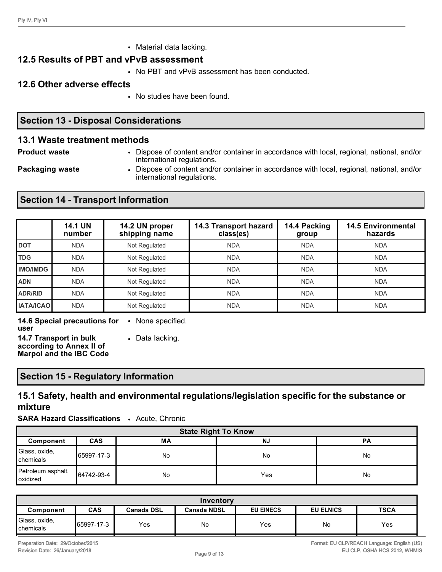• Material data lacking.

# **12.5 Results of PBT and vPvB assessment**

• No PBT and vPvB assessment has been conducted.

# **12.6 Other adverse effects**

• No studies have been found.

# **Section 13 - Disposal Considerations**

# **13.1 Waste treatment methods**

**Product waste** • Dispose of content and/or container in accordance with local, regional, national, and/or international regulations.

**Packaging waste** • Dispose of content and/or container in accordance with local, regional, national, and/or international regulations.

# **Section 14 - Transport Information**

|                  | <b>14.1 UN</b><br>number | 14.2 UN proper<br>shipping name | 14.3 Transport hazard<br>class(es) | 14.4 Packing<br>group | <b>14.5 Environmental</b><br>hazards |
|------------------|--------------------------|---------------------------------|------------------------------------|-----------------------|--------------------------------------|
| <b>DOT</b>       | <b>NDA</b>               | Not Regulated                   | <b>NDA</b>                         | <b>NDA</b>            | <b>NDA</b>                           |
| <b>TDG</b>       | <b>NDA</b>               | Not Regulated                   | <b>NDA</b>                         | <b>NDA</b>            | <b>NDA</b>                           |
| <b>IMO/IMDG</b>  | <b>NDA</b>               | Not Regulated                   | <b>NDA</b>                         | <b>NDA</b>            | <b>NDA</b>                           |
| <b>ADN</b>       | <b>NDA</b>               | Not Regulated                   | <b>NDA</b>                         | <b>NDA</b>            | <b>NDA</b>                           |
| <b>ADR/RID</b>   | <b>NDA</b>               | Not Regulated                   | <b>NDA</b>                         | <b>NDA</b>            | <b>NDA</b>                           |
| <b>IATA/ICAO</b> | <b>NDA</b>               | Not Regulated                   | <b>NDA</b>                         | <b>NDA</b>            | <b>NDA</b>                           |

**14.6 Special precautions for**  • None specified. **user**

**14.7 Transport in bulk according to Annex II of Marpol and the IBC Code** • Data lacking.

# **Section 15 - Regulatory Information**

# **15.1 Safety, health and environmental regulations/legislation specific for the substance or mixture**

**SARA Hazard Classifications** • Acute, Chronic

| <b>State Right To Know</b>     |                                            |           |     |    |  |  |  |
|--------------------------------|--------------------------------------------|-----------|-----|----|--|--|--|
| Component                      | <b>CAS</b><br>MA<br><b>NJ</b><br><b>PA</b> |           |     |    |  |  |  |
| Glass, oxide,<br>chemicals     | 65997-17-3                                 | No        | No  | No |  |  |  |
| Petroleum asphalt,<br>oxidized | 64742-93-4                                 | <b>No</b> | Yes | No |  |  |  |

| Inventory                           |                                                                                                              |     |    |     |    |     |
|-------------------------------------|--------------------------------------------------------------------------------------------------------------|-----|----|-----|----|-----|
| Component                           | <b>CAS</b><br><b>EU EINECS</b><br><b>TSCA</b><br><b>EU ELNICS</b><br><b>Canada NDSL</b><br><b>Canada DSL</b> |     |    |     |    |     |
| Glass, oxide,<br><b>I</b> chemicals | ∥65997-17-3                                                                                                  | Yes | No | Yes | No | Yes |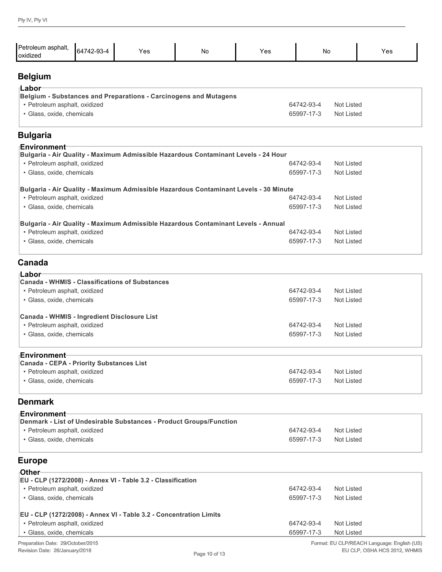| Petroleum asphalt,                                         |            |                                                                                      |           |     |            |                   |
|------------------------------------------------------------|------------|--------------------------------------------------------------------------------------|-----------|-----|------------|-------------------|
| oxidized                                                   | 64742-93-4 | Yes                                                                                  | <b>No</b> | Yes | No         | Yes               |
| <b>Belgium</b>                                             |            |                                                                                      |           |     |            |                   |
| ⊺Labor                                                     |            |                                                                                      |           |     |            |                   |
|                                                            |            | Belgium - Substances and Preparations - Carcinogens and Mutagens                     |           |     |            |                   |
| • Petroleum asphalt, oxidized                              |            |                                                                                      |           |     | 64742-93-4 | Not Listed        |
| · Glass, oxide, chemicals                                  |            |                                                                                      |           |     | 65997-17-3 | <b>Not Listed</b> |
| <b>Bulgaria</b>                                            |            |                                                                                      |           |     |            |                   |
| <b>⊦Environment</b>                                        |            |                                                                                      |           |     |            |                   |
|                                                            |            | Bulgaria - Air Quality - Maximum Admissible Hazardous Contaminant Levels - 24 Hour   |           |     |            |                   |
| • Petroleum asphalt, oxidized                              |            |                                                                                      |           |     | 64742-93-4 | <b>Not Listed</b> |
| · Glass, oxide, chemicals                                  |            |                                                                                      |           |     | 65997-17-3 | <b>Not Listed</b> |
|                                                            |            | Bulgaria - Air Quality - Maximum Admissible Hazardous Contaminant Levels - 30 Minute |           |     |            |                   |
| • Petroleum asphalt, oxidized                              |            |                                                                                      |           |     | 64742-93-4 | <b>Not Listed</b> |
| · Glass, oxide, chemicals                                  |            |                                                                                      |           |     | 65997-17-3 | <b>Not Listed</b> |
|                                                            |            | Bulgaria - Air Quality - Maximum Admissible Hazardous Contaminant Levels - Annual    |           |     |            |                   |
| • Petroleum asphalt, oxidized                              |            |                                                                                      |           |     | 64742-93-4 | <b>Not Listed</b> |
| · Glass, oxide, chemicals                                  |            |                                                                                      |           |     | 65997-17-3 | <b>Not Listed</b> |
| Canada                                                     |            |                                                                                      |           |     |            |                   |
| ⊺Labor                                                     |            |                                                                                      |           |     |            |                   |
|                                                            |            | Canada - WHMIS - Classifications of Substances                                       |           |     | 64742-93-4 | <b>Not Listed</b> |
| • Petroleum asphalt, oxidized<br>· Glass, oxide, chemicals |            |                                                                                      |           |     | 65997-17-3 | <b>Not Listed</b> |
|                                                            |            |                                                                                      |           |     |            |                   |
| Canada - WHMIS - Ingredient Disclosure List                |            |                                                                                      |           |     |            |                   |
| • Petroleum asphalt, oxidized                              |            |                                                                                      |           |     | 64742-93-4 | <b>Not Listed</b> |
| · Glass, oxide, chemicals                                  |            |                                                                                      |           |     | 65997-17-3 | Not Listed        |
| Environment-                                               |            |                                                                                      |           |     |            |                   |
| Canada - CEPA - Priority Substances List                   |            |                                                                                      |           |     |            |                   |
| · Petroleum asphalt, oxidized                              |            |                                                                                      |           |     | 64742-93-4 | Not Listed        |
| · Glass, oxide, chemicals                                  |            |                                                                                      |           |     | 65997-17-3 | Not Listed        |
| <b>Denmark</b>                                             |            |                                                                                      |           |     |            |                   |
| ⊦Environment                                               |            |                                                                                      |           |     |            |                   |
| • Petroleum asphalt, oxidized                              |            | Denmark - List of Undesirable Substances - Product Groups/Function                   |           |     | 64742-93-4 | <b>Not Listed</b> |
| · Glass, oxide, chemicals                                  |            |                                                                                      |           |     | 65997-17-3 | <b>Not Listed</b> |
|                                                            |            |                                                                                      |           |     |            |                   |
| <b>Europe</b>                                              |            |                                                                                      |           |     |            |                   |
| <sub>⊺</sub> Other                                         |            |                                                                                      |           |     |            |                   |
| • Petroleum asphalt, oxidized                              |            | EU - CLP (1272/2008) - Annex VI - Table 3.2 - Classification                         |           |     | 64742-93-4 | Not Listed        |
| · Glass, oxide, chemicals                                  |            |                                                                                      |           |     | 65997-17-3 | Not Listed        |
|                                                            |            |                                                                                      |           |     |            |                   |
|                                                            |            | EU - CLP (1272/2008) - Annex VI - Table 3.2 - Concentration Limits                   |           |     |            |                   |
| · Petroleum asphalt, oxidized                              |            |                                                                                      |           |     | 64742-93-4 | Not Listed        |

• Glass, oxide, chemicals 65997-17-3 Not Listed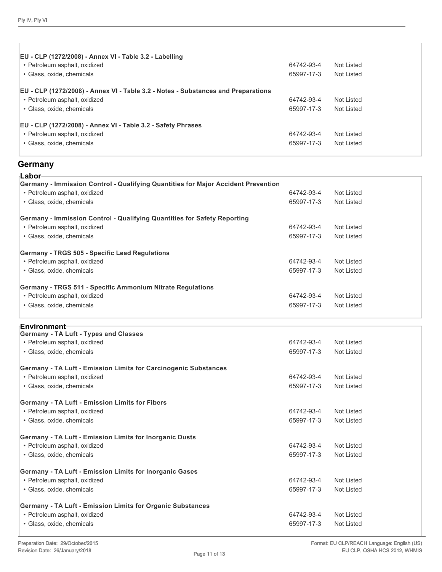$\overline{1}$ 

| EU - CLP (1272/2008) - Annex VI - Table 3.2 - Labelling<br>• Petroleum asphalt, oxidized<br>• Glass, oxide, chemicals                                   | 64742-93-4<br>65997-17-3               | Not Listed<br>Not Listed               |  |
|---------------------------------------------------------------------------------------------------------------------------------------------------------|----------------------------------------|----------------------------------------|--|
| EU - CLP (1272/2008) - Annex VI - Table 3.2 - Notes - Substances and Preparations<br>• Petroleum asphalt, oxidized                                      | 64742-93-4                             | Not Listed                             |  |
| • Glass, oxide, chemicals<br>EU - CLP (1272/2008) - Annex VI - Table 3.2 - Safety Phrases<br>• Petroleum asphalt, oxidized<br>• Glass, oxide, chemicals | 65997-17-3<br>64742-93-4<br>65997-17-3 | Not Listed<br>Not Listed<br>Not Listed |  |

# **Germany**

| ∙Labor                                                                            |            |                   |
|-----------------------------------------------------------------------------------|------------|-------------------|
| Germany - Immission Control - Qualifying Quantities for Major Accident Prevention |            |                   |
| • Petroleum asphalt, oxidized                                                     | 64742-93-4 | <b>Not Listed</b> |
| · Glass, oxide, chemicals                                                         | 65997-17-3 | <b>Not Listed</b> |
| Germany - Immission Control - Qualifying Quantities for Safety Reporting          |            |                   |
| • Petroleum asphalt, oxidized                                                     | 64742-93-4 | <b>Not Listed</b> |
| · Glass, oxide, chemicals                                                         | 65997-17-3 | <b>Not Listed</b> |
| Germany - TRGS 505 - Specific Lead Regulations                                    |            |                   |
| • Petroleum asphalt, oxidized                                                     | 64742-93-4 | <b>Not Listed</b> |
| · Glass, oxide, chemicals                                                         | 65997-17-3 | <b>Not Listed</b> |
| Germany - TRGS 511 - Specific Ammonium Nitrate Regulations                        |            |                   |
| · Petroleum asphalt, oxidized                                                     | 64742-93-4 | <b>Not Listed</b> |
| · Glass, oxide, chemicals                                                         | 65997-17-3 | <b>Not Listed</b> |
| <b>Environment</b> ⊤                                                              |            |                   |
| <b>Germany - TA Luft - Types and Classes</b>                                      |            |                   |
| • Petroleum asphalt, oxidized                                                     | 64742-93-4 | <b>Not Listed</b> |
| · Glass, oxide, chemicals                                                         | 65997-17-3 | <b>Not Listed</b> |
| Germany - TA Luft - Emission Limits for Carcinogenic Substances                   |            |                   |
| • Petroleum asphalt, oxidized                                                     | 64742-93-4 | <b>Not Listed</b> |
| · Glass, oxide, chemicals                                                         | 65997-17-3 | <b>Not Listed</b> |
| <b>Germany - TA Luft - Emission Limits for Fibers</b>                             |            |                   |
| · Petroleum asphalt, oxidized                                                     | 64742-93-4 | <b>Not Listed</b> |
| · Glass, oxide, chemicals                                                         | 65997-17-3 | <b>Not Listed</b> |
| <b>Germany - TA Luft - Emission Limits for Inorganic Dusts</b>                    |            |                   |
| · Petroleum asphalt, oxidized                                                     | 64742-93-4 | <b>Not Listed</b> |
| · Glass, oxide, chemicals                                                         | 65997-17-3 | <b>Not Listed</b> |
| Germany - TA Luft - Emission Limits for Inorganic Gases                           |            |                   |
| • Petroleum asphalt, oxidized                                                     | 64742-93-4 | <b>Not Listed</b> |
| · Glass, oxide, chemicals                                                         | 65997-17-3 | <b>Not Listed</b> |
| Germany - TA Luft - Emission Limits for Organic Substances                        |            |                   |
| • Petroleum asphalt, oxidized                                                     | 64742-93-4 | <b>Not Listed</b> |
| · Glass, oxide, chemicals                                                         | 65997-17-3 | <b>Not Listed</b> |
|                                                                                   |            |                   |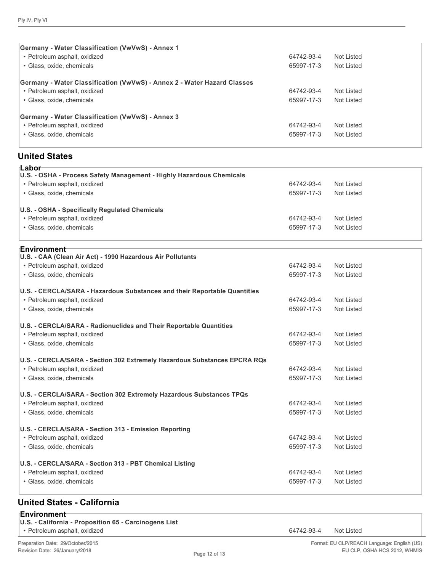| <b>Germany - Water Classification (VwVwS) - Annex 1</b>                 |            |            |
|-------------------------------------------------------------------------|------------|------------|
| • Petroleum asphalt, oxidized                                           | 64742-93-4 | Not Listed |
| • Glass, oxide, chemicals                                               | 65997-17-3 | Not Listed |
| Germany - Water Classification (VwVwS) - Annex 2 - Water Hazard Classes |            |            |
| • Petroleum asphalt, oxidized                                           | 64742-93-4 | Not Listed |
| • Glass, oxide, chemicals                                               | 65997-17-3 | Not Listed |
| <b>Germany - Water Classification (VwVwS) - Annex 3</b>                 |            |            |
| • Petroleum asphalt, oxidized                                           | 64742-93-4 | Not Listed |
| • Glass, oxide, chemicals                                               | 65997-17-3 | Not Listed |

# **United States**

| ⊺Labor<br>U.S. - OSHA - Process Safety Management - Highly Hazardous Chemicals |            |                   |
|--------------------------------------------------------------------------------|------------|-------------------|
| · Petroleum asphalt, oxidized                                                  | 64742-93-4 | Not Listed        |
| · Glass, oxide, chemicals                                                      | 65997-17-3 | <b>Not Listed</b> |
| U.S. - OSHA - Specifically Regulated Chemicals                                 |            |                   |
| • Petroleum asphalt, oxidized                                                  | 64742-93-4 | <b>Not Listed</b> |
| · Glass, oxide, chemicals                                                      | 65997-17-3 | Not Listed        |
| ⊧Environment                                                                   |            |                   |
| U.S. - CAA (Clean Air Act) - 1990 Hazardous Air Pollutants                     |            |                   |
| • Petroleum asphalt, oxidized                                                  | 64742-93-4 | Not Listed        |
| · Glass, oxide, chemicals                                                      | 65997-17-3 | <b>Not Listed</b> |
| U.S. - CERCLA/SARA - Hazardous Substances and their Reportable Quantities      |            |                   |
| • Petroleum asphalt, oxidized                                                  | 64742-93-4 | <b>Not Listed</b> |
| · Glass, oxide, chemicals                                                      | 65997-17-3 | <b>Not Listed</b> |
| U.S. - CERCLA/SARA - Radionuclides and Their Reportable Quantities             |            |                   |
| • Petroleum asphalt, oxidized                                                  | 64742-93-4 | Not Listed        |
| · Glass, oxide, chemicals                                                      | 65997-17-3 | Not Listed        |
| U.S. - CERCLA/SARA - Section 302 Extremely Hazardous Substances EPCRA RQs      |            |                   |
| • Petroleum asphalt, oxidized                                                  | 64742-93-4 | <b>Not Listed</b> |
| · Glass, oxide, chemicals                                                      | 65997-17-3 | Not Listed        |
| U.S. - CERCLA/SARA - Section 302 Extremely Hazardous Substances TPQs           |            |                   |
| · Petroleum asphalt, oxidized                                                  | 64742-93-4 | <b>Not Listed</b> |
| · Glass, oxide, chemicals                                                      | 65997-17-3 | <b>Not Listed</b> |
| U.S. - CERCLA/SARA - Section 313 - Emission Reporting                          |            |                   |
| • Petroleum asphalt, oxidized                                                  | 64742-93-4 | <b>Not Listed</b> |
| · Glass, oxide, chemicals                                                      | 65997-17-3 | <b>Not Listed</b> |
| U.S. - CERCLA/SARA - Section 313 - PBT Chemical Listing                        |            |                   |
| · Petroleum asphalt, oxidized                                                  | 64742-93-4 | Not Listed        |
| · Glass, oxide, chemicals                                                      | 65997-17-3 | <b>Not Listed</b> |
|                                                                                |            |                   |

#### **United States - California**

- **U.S. California Proposition 65 Carcinogens List**
- Petroleum asphalt, oxidized 64742-93-4 Not Listed